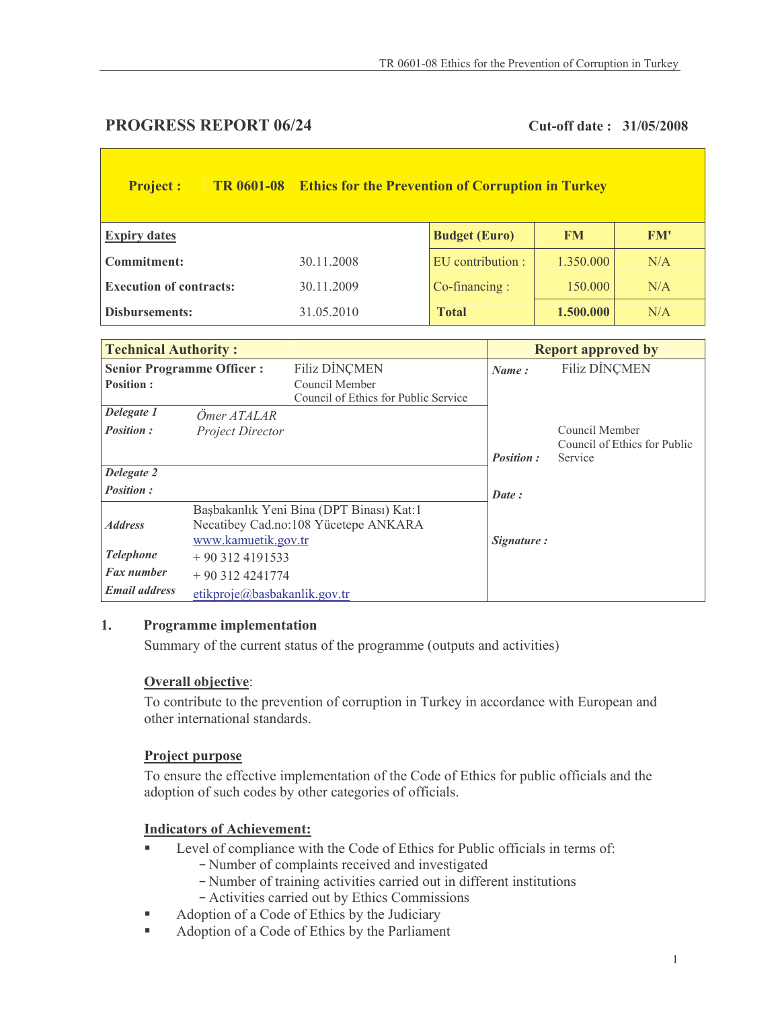# **PROGRESS REPORT 06/24**

## Cut-off date: 31/05/2008

| <b>Project:</b>                | <b>TR 0601-08</b> | <b>Ethics for the Prevention of Corruption in Turkey</b> |                      |           |     |  |
|--------------------------------|-------------------|----------------------------------------------------------|----------------------|-----------|-----|--|
| <b>Expiry dates</b>            |                   |                                                          | <b>Budget (Euro)</b> | <b>FM</b> | FM' |  |
| Commitment:                    |                   | 30.11.2008                                               | EU contribution :    | 1.350.000 | N/A |  |
| <b>Execution of contracts:</b> |                   | 30.11.2009                                               | $Co-financing:$      | 150.000   | N/A |  |
| Disbursements:                 |                   | 31.05.2010                                               | <b>Total</b>         | 1.500.000 | N/A |  |

| <b>Technical Authority:</b>      |                              |                                                                                  |                  | <b>Report approved by</b>               |  |  |
|----------------------------------|------------------------------|----------------------------------------------------------------------------------|------------------|-----------------------------------------|--|--|
| <b>Senior Programme Officer:</b> |                              | <b>Filiz DINCMEN</b>                                                             | Name:            | <b>Filiz DİNCMEN</b>                    |  |  |
| <b>Position:</b>                 |                              | Council Member<br>Council of Ethics for Public Service                           |                  |                                         |  |  |
| Delegate 1                       | Ömer ATALAR                  |                                                                                  |                  |                                         |  |  |
| <b>Position:</b>                 | Project Director             |                                                                                  |                  | Council Member                          |  |  |
|                                  |                              |                                                                                  | <b>Position:</b> | Council of Ethics for Public<br>Service |  |  |
| Delegate 2                       |                              |                                                                                  |                  |                                         |  |  |
| <b>Position:</b>                 |                              |                                                                                  | Date:            |                                         |  |  |
| <b>Address</b>                   |                              | Başbakanlık Yeni Bina (DPT Binası) Kat:1<br>Necatibey Cad.no:108 Yücetepe ANKARA |                  |                                         |  |  |
|                                  | www.kamuetik.gov.tr          |                                                                                  | Signature:       |                                         |  |  |
| <b>Telephone</b>                 | $+903124191533$              |                                                                                  |                  |                                         |  |  |
| <b>Fax number</b>                | $+903124241774$              |                                                                                  |                  |                                         |  |  |
| <b>Email address</b>             | etikproje@basbakanlik.gov.tr |                                                                                  |                  |                                         |  |  |

#### 1. **Programme implementation**

Summary of the current status of the programme (outputs and activities)

### **Overall objective:**

To contribute to the prevention of corruption in Turkey in accordance with European and other international standards.

### **Project purpose**

To ensure the effective implementation of the Code of Ethics for public officials and the adoption of such codes by other categories of officials.

### **Indicators of Achievement:**

- Level of compliance with the Code of Ethics for Public officials in terms of:
	- Number of complaints received and investigated
	- Number of training activities carried out in different institutions
	- Activities carried out by Ethics Commissions
- Adoption of a Code of Ethics by the Judiciary  $\blacksquare$
- Adoption of a Code of Ethics by the Parliament  $\mathbf{r}$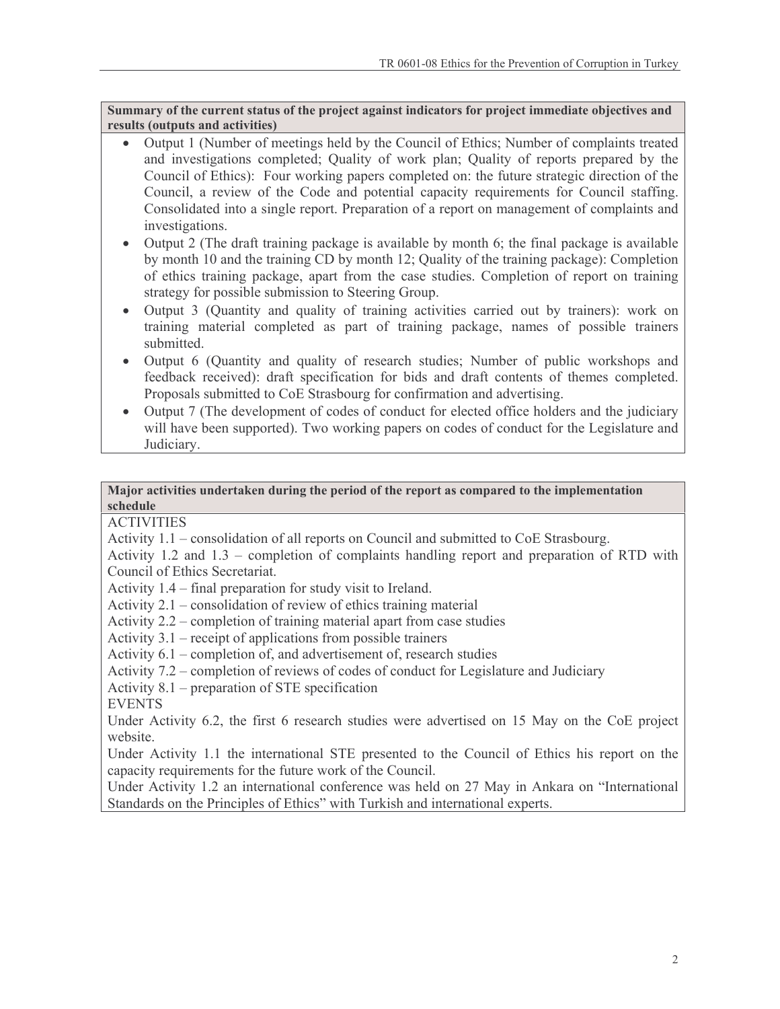Summary of the current status of the project against indicators for project immediate objectives and results (outputs and activities)

- Output 1 (Number of meetings held by the Council of Ethics; Number of complaints treated  $\bullet$ and investigations completed; Quality of work plan; Quality of reports prepared by the Council of Ethics): Four working papers completed on: the future strategic direction of the Council, a review of the Code and potential capacity requirements for Council staffing. Consolidated into a single report. Preparation of a report on management of complaints and investigations.
- Output 2 (The draft training package is available by month 6; the final package is available by month 10 and the training CD by month 12; Quality of the training package): Completion of ethics training package, apart from the case studies. Completion of report on training strategy for possible submission to Steering Group.
- Output 3 (Quantity and quality of training activities carried out by trainers): work on  $\bullet$ training material completed as part of training package, names of possible trainers submitted.
- Output 6 (Quantity and quality of research studies; Number of public workshops and feedback received): draft specification for bids and draft contents of themes completed. Proposals submitted to CoE Strasbourg for confirmation and advertising.
- Output 7 (The development of codes of conduct for elected office holders and the judiciary  $\bullet$ will have been supported). Two working papers on codes of conduct for the Legislature and Judiciary.

#### Major activities undertaken during the period of the report as compared to the implementation schedule

**ACTIVITIES** 

Activity 1.1 – consolidation of all reports on Council and submitted to CoE Strasbourg.

Activity 1.2 and  $1.3$  – completion of complaints handling report and preparation of RTD with Council of Ethics Secretariat.

Activity  $1.4$  – final preparation for study visit to Ireland.

Activity  $2.1$  – consolidation of review of ethics training material

Activity 2.2 – completion of training material apart from case studies

Activity  $3.1$  – receipt of applications from possible trainers

Activity  $6.1$  – completion of, and advertisement of, research studies

Activity 7.2 – completion of reviews of codes of conduct for Legislature and Judiciary

Activity  $8.1$  – preparation of STE specification

**EVENTS** 

Under Activity 6.2, the first 6 research studies were advertised on 15 May on the CoE project website.

Under Activity 1.1 the international STE presented to the Council of Ethics his report on the capacity requirements for the future work of the Council.

Under Activity 1.2 an international conference was held on 27 May in Ankara on "International" Standards on the Principles of Ethics" with Turkish and international experts.